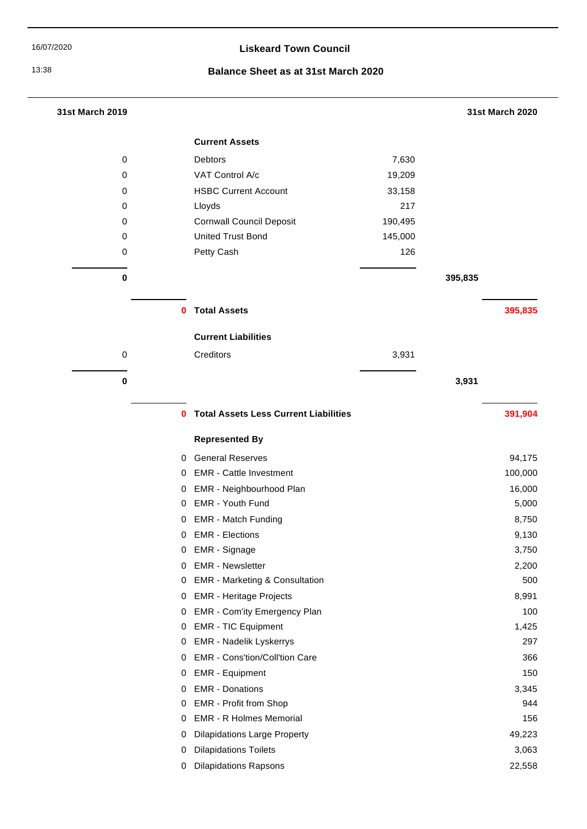# 16/07/2020 **Liskeard Town Council**

# 13:38 **Balance Sheet as at 31st March 2020**

| 31st March 2019 |          |                                              |         |         | 31st March 2020 |
|-----------------|----------|----------------------------------------------|---------|---------|-----------------|
|                 |          | <b>Current Assets</b>                        |         |         |                 |
| 0               |          | Debtors                                      | 7,630   |         |                 |
| 0               |          | VAT Control A/c                              | 19,209  |         |                 |
| 0               |          | <b>HSBC Current Account</b>                  | 33,158  |         |                 |
| 0               |          | Lloyds                                       | 217     |         |                 |
| 0               |          | <b>Cornwall Council Deposit</b>              | 190,495 |         |                 |
| 0               |          | <b>United Trust Bond</b>                     | 145,000 |         |                 |
| 0               |          | Petty Cash                                   | 126     |         |                 |
| 0               |          |                                              |         | 395,835 |                 |
|                 | $\bf{0}$ | <b>Total Assets</b>                          |         |         | 395,835         |
|                 |          | <b>Current Liabilities</b>                   |         |         |                 |
| 0               |          | Creditors                                    | 3,931   |         |                 |
|                 |          |                                              |         |         |                 |
| $\bf{0}$        |          |                                              |         | 3,931   |                 |
|                 | $\bf{0}$ | <b>Total Assets Less Current Liabilities</b> |         |         | 391,904         |
|                 |          | <b>Represented By</b>                        |         |         |                 |
|                 | 0        | <b>General Reserves</b>                      |         |         | 94,175          |
|                 | 0        | <b>EMR</b> - Cattle Investment               |         |         | 100,000         |
|                 | 0        | EMR - Neighbourhood Plan                     |         |         | 16,000          |
|                 | 0        | EMR - Youth Fund                             |         |         | 5,000           |
|                 | 0        | <b>EMR - Match Funding</b>                   |         |         | 8,750           |
|                 |          | 0 EMR - Elections                            |         |         | 9,130           |
|                 | 0        | EMR - Signage                                |         |         | 3,750           |
|                 | 0        | <b>EMR</b> - Newsletter                      |         |         | 2,200           |
|                 | 0        | <b>EMR - Marketing &amp; Consultation</b>    |         |         | 500             |
|                 | 0        | <b>EMR - Heritage Projects</b>               |         |         | 8,991           |
|                 | 0        | <b>EMR - Com'ity Emergency Plan</b>          |         |         | 100             |
|                 | 0        | <b>EMR - TIC Equipment</b>                   |         |         | 1,425           |
|                 | 0        | <b>EMR - Nadelik Lyskerrys</b>               |         |         | 297             |
|                 | 0        | EMR - Cons'tion/Coll'tion Care               |         |         | 366             |
|                 | 0        | <b>EMR</b> - Equipment                       |         |         | 150             |
|                 | 0        | <b>EMR - Donations</b>                       |         |         | 3,345           |
|                 | 0        | EMR - Profit from Shop                       |         |         | 944             |
|                 | 0        | <b>EMR - R Holmes Memorial</b>               |         |         | 156             |
|                 | 0        | <b>Dilapidations Large Property</b>          |         |         | 49,223          |
|                 | 0        | <b>Dilapidations Toilets</b>                 |         |         | 3,063           |
|                 | 0        | <b>Dilapidations Rapsons</b>                 |         |         | 22,558          |